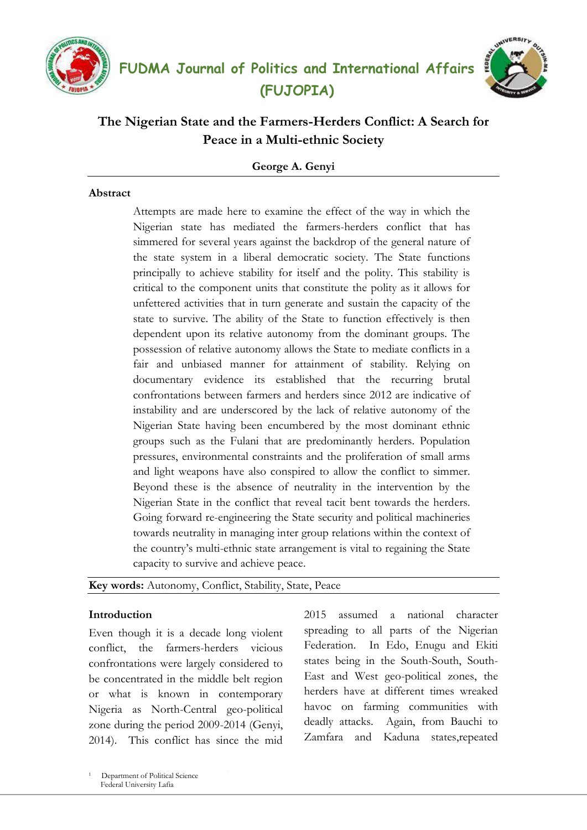





# **The Nigerian State and the Farmers-Herders Conflict: A Search for Peace in a Multi-ethnic Society**

**George A. Genyi**

## **Abstract**

Attempts are made here to examine the effect of the way in which the Nigerian state has mediated the farmers-herders conflict that has simmered for several years against the backdrop of the general nature of the state system in a liberal democratic society. The State functions principally to achieve stability for itself and the polity. This stability is critical to the component units that constitute the polity as it allows for unfettered activities that in turn generate and sustain the capacity of the state to survive. The ability of the State to function effectively is then dependent upon its relative autonomy from the dominant groups. The possession of relative autonomy allows the State to mediate conflicts in a fair and unbiased manner for attainment of stability. Relying on documentary evidence its established that the recurring brutal confrontations between farmers and herders since 2012 are indicative of instability and are underscored by the lack of relative autonomy of the Nigerian State having been encumbered by the most dominant ethnic groups such as the Fulani that are predominantly herders. Population pressures, environmental constraints and the proliferation of small arms and light weapons have also conspired to allow the conflict to simmer. Beyond these is the absence of neutrality in the intervention by the Nigerian State in the conflict that reveal tacit bent towards the herders. Going forward re-engineering the State security and political machineries towards neutrality in managing inter group relations within the context of the country"s multi-ethnic state arrangement is vital to regaining the State capacity to survive and achieve peace.

## **Key words:** Autonomy, Conflict, Stability, State, Peace

## **Introduction**

Even though it is a decade long violent conflict, the farmers-herders vicious confrontations were largely considered to be concentrated in the middle belt region or what is known in contemporary Nigeria as North-Central geo-political zone during the period 2009-2014 (Genyi, 2014). This conflict has since the mid

2015 assumed a national character spreading to all parts of the Nigerian Federation. In Edo, Enugu and Ekiti states being in the South-South, South-East and West geo-political zones, the herders have at different times wreaked havoc on farming communities with deadly attacks. Again, from Bauchi to Zamfara and Kaduna states,repeated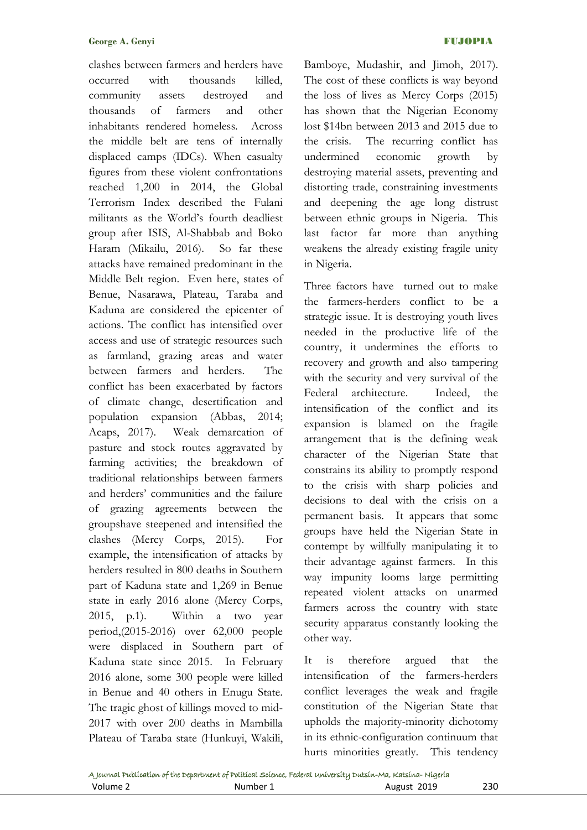clashes between farmers and herders have occurred with thousands killed, community assets destroyed and thousands of farmers and other inhabitants rendered homeless. Across the middle belt are tens of internally displaced camps (IDCs). When casualty figures from these violent confrontations reached 1,200 in 2014, the Global Terrorism Index described the Fulani militants as the World"s fourth deadliest group after ISIS, Al-Shabbab and Boko Haram (Mikailu, 2016). So far these attacks have remained predominant in the Middle Belt region. Even here, states of Benue, Nasarawa, Plateau, Taraba and Kaduna are considered the epicenter of actions. The conflict has intensified over access and use of strategic resources such as farmland, grazing areas and water between farmers and herders. The conflict has been exacerbated by factors of climate change, desertification and population expansion (Abbas, 2014; Acaps, 2017). Weak demarcation of pasture and stock routes aggravated by farming activities; the breakdown of traditional relationships between farmers and herders" communities and the failure of grazing agreements between the groupshave steepened and intensified the clashes (Mercy Corps, 2015). For example, the intensification of attacks by herders resulted in 800 deaths in Southern part of Kaduna state and 1,269 in Benue state in early 2016 alone (Mercy Corps, 2015, p.1). Within a two year period,(2015-2016) over 62,000 people were displaced in Southern part of Kaduna state since 2015. In February 2016 alone, some 300 people were killed in Benue and 40 others in Enugu State. The tragic ghost of killings moved to mid-2017 with over 200 deaths in Mambilla Plateau of Taraba state (Hunkuyi, Wakili,

Bamboye, Mudashir, and Jimoh, 2017). The cost of these conflicts is way beyond the loss of lives as Mercy Corps (2015) has shown that the Nigerian Economy lost \$14bn between 2013 and 2015 due to the crisis. The recurring conflict has undermined economic growth by destroying material assets, preventing and distorting trade, constraining investments and deepening the age long distrust between ethnic groups in Nigeria. This last factor far more than anything weakens the already existing fragile unity in Nigeria.

Three factors have turned out to make the farmers-herders conflict to be a strategic issue. It is destroying youth lives needed in the productive life of the country, it undermines the efforts to recovery and growth and also tampering with the security and very survival of the Federal architecture. Indeed, the intensification of the conflict and its expansion is blamed on the fragile arrangement that is the defining weak character of the Nigerian State that constrains its ability to promptly respond to the crisis with sharp policies and decisions to deal with the crisis on a permanent basis. It appears that some groups have held the Nigerian State in contempt by willfully manipulating it to their advantage against farmers. In this way impunity looms large permitting repeated violent attacks on unarmed farmers across the country with state security apparatus constantly looking the other way.

It is therefore argued that the intensification of the farmers-herders conflict leverages the weak and fragile constitution of the Nigerian State that upholds the majority-minority dichotomy in its ethnic-configuration continuum that hurts minorities greatly. This tendency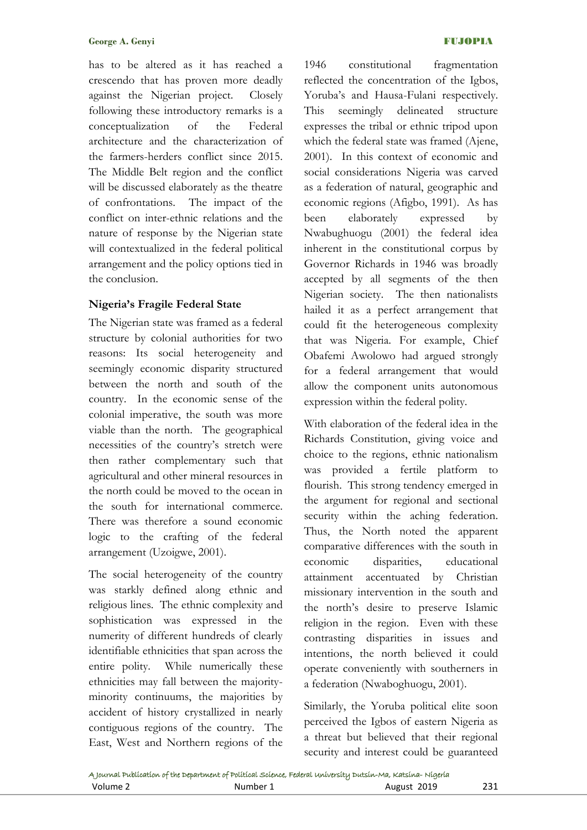has to be altered as it has reached a crescendo that has proven more deadly against the Nigerian project. Closely following these introductory remarks is a conceptualization of the Federal architecture and the characterization of the farmers-herders conflict since 2015. The Middle Belt region and the conflict will be discussed elaborately as the theatre of confrontations. The impact of the conflict on inter-ethnic relations and the nature of response by the Nigerian state will contextualized in the federal political arrangement and the policy options tied in the conclusion.

## **Nigeria's Fragile Federal State**

The Nigerian state was framed as a federal structure by colonial authorities for two reasons: Its social heterogeneity and seemingly economic disparity structured between the north and south of the country. In the economic sense of the colonial imperative, the south was more viable than the north. The geographical necessities of the country"s stretch were then rather complementary such that agricultural and other mineral resources in the north could be moved to the ocean in the south for international commerce. There was therefore a sound economic logic to the crafting of the federal arrangement (Uzoigwe, 2001).

The social heterogeneity of the country was starkly defined along ethnic and religious lines. The ethnic complexity and sophistication was expressed in the numerity of different hundreds of clearly identifiable ethnicities that span across the entire polity. While numerically these ethnicities may fall between the majorityminority continuums, the majorities by accident of history crystallized in nearly contiguous regions of the country. The East, West and Northern regions of the

1946 constitutional fragmentation reflected the concentration of the Igbos, Yoruba's and Hausa-Fulani respectively. This seemingly delineated structure expresses the tribal or ethnic tripod upon which the federal state was framed (Ajene, 2001). In this context of economic and social considerations Nigeria was carved as a federation of natural, geographic and economic regions (Afigbo, 1991). As has been elaborately expressed by Nwabughuogu (2001) the federal idea inherent in the constitutional corpus by Governor Richards in 1946 was broadly accepted by all segments of the then Nigerian society. The then nationalists hailed it as a perfect arrangement that could fit the heterogeneous complexity that was Nigeria. For example, Chief Obafemi Awolowo had argued strongly for a federal arrangement that would allow the component units autonomous expression within the federal polity.

With elaboration of the federal idea in the Richards Constitution, giving voice and choice to the regions, ethnic nationalism was provided a fertile platform to flourish. This strong tendency emerged in the argument for regional and sectional security within the aching federation. Thus, the North noted the apparent comparative differences with the south in economic disparities, educational attainment accentuated by Christian missionary intervention in the south and the north"s desire to preserve Islamic religion in the region. Even with these contrasting disparities in issues and intentions, the north believed it could operate conveniently with southerners in a federation (Nwaboghuogu, 2001).

Similarly, the Yoruba political elite soon perceived the Igbos of eastern Nigeria as a threat but believed that their regional security and interest could be guaranteed

|          | A Journal Publication of the Department of Political Science, Federal University Dutsin-Ma, Katsina-Nigeria |             |     |
|----------|-------------------------------------------------------------------------------------------------------------|-------------|-----|
| Volume 2 | Number 1                                                                                                    | August 2019 | 231 |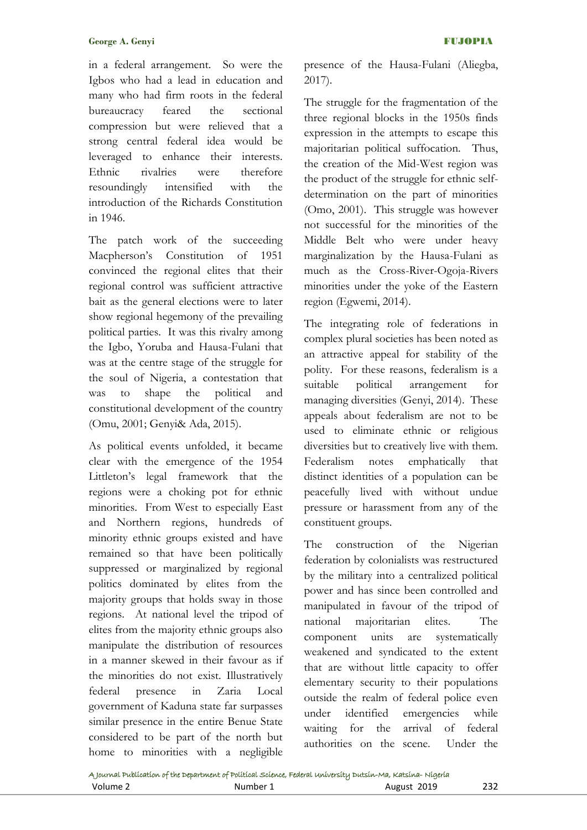in a federal arrangement. So were the Igbos who had a lead in education and many who had firm roots in the federal bureaucracy feared the sectional compression but were relieved that a strong central federal idea would be leveraged to enhance their interests. Ethnic rivalries were therefore resoundingly intensified with the introduction of the Richards Constitution in 1946.

The patch work of the succeeding Macpherson's Constitution of 1951 convinced the regional elites that their regional control was sufficient attractive bait as the general elections were to later show regional hegemony of the prevailing political parties. It was this rivalry among the Igbo, Yoruba and Hausa-Fulani that was at the centre stage of the struggle for the soul of Nigeria, a contestation that was to shape the political and constitutional development of the country (Omu, 2001; Genyi& Ada, 2015).

As political events unfolded, it became clear with the emergence of the 1954 Littleton"s legal framework that the regions were a choking pot for ethnic minorities. From West to especially East and Northern regions, hundreds of minority ethnic groups existed and have remained so that have been politically suppressed or marginalized by regional politics dominated by elites from the majority groups that holds sway in those regions. At national level the tripod of elites from the majority ethnic groups also manipulate the distribution of resources in a manner skewed in their favour as if the minorities do not exist. Illustratively federal presence in Zaria Local government of Kaduna state far surpasses similar presence in the entire Benue State considered to be part of the north but home to minorities with a negligible

presence of the Hausa-Fulani (Aliegba, 2017).

The struggle for the fragmentation of the three regional blocks in the 1950s finds expression in the attempts to escape this majoritarian political suffocation. Thus, the creation of the Mid-West region was the product of the struggle for ethnic selfdetermination on the part of minorities (Omo, 2001). This struggle was however not successful for the minorities of the Middle Belt who were under heavy marginalization by the Hausa-Fulani as much as the Cross-River-Ogoja-Rivers minorities under the yoke of the Eastern region (Egwemi, 2014).

The integrating role of federations in complex plural societies has been noted as an attractive appeal for stability of the polity. For these reasons, federalism is a suitable political arrangement for managing diversities (Genyi, 2014). These appeals about federalism are not to be used to eliminate ethnic or religious diversities but to creatively live with them. Federalism notes emphatically that distinct identities of a population can be peacefully lived with without undue pressure or harassment from any of the constituent groups.

The construction of the Nigerian federation by colonialists was restructured by the military into a centralized political power and has since been controlled and manipulated in favour of the tripod of national majoritarian elites. The component units are systematically weakened and syndicated to the extent that are without little capacity to offer elementary security to their populations outside the realm of federal police even under identified emergencies while waiting for the arrival of federal authorities on the scene. Under the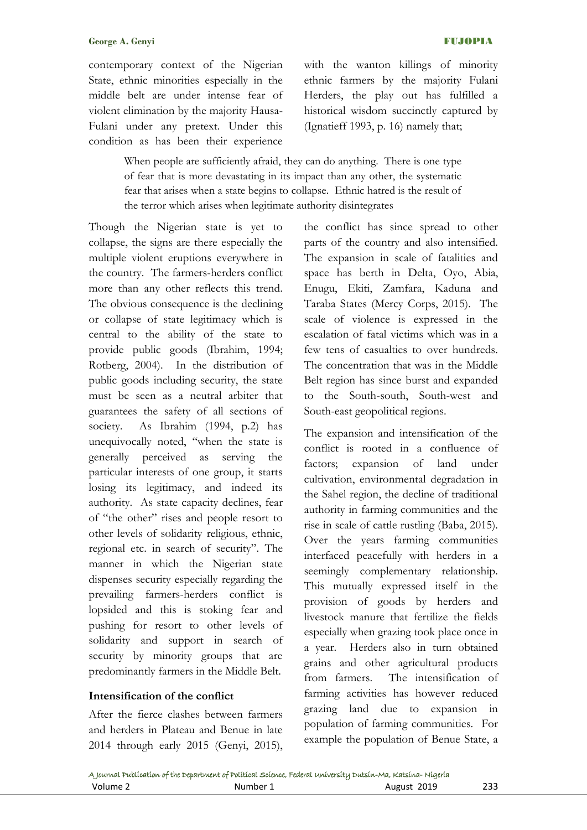contemporary context of the Nigerian State, ethnic minorities especially in the middle belt are under intense fear of violent elimination by the majority Hausa-Fulani under any pretext. Under this condition as has been their experience

with the wanton killings of minority ethnic farmers by the majority Fulani Herders, the play out has fulfilled a historical wisdom succinctly captured by (Ignatieff 1993, p. 16) namely that;

When people are sufficiently afraid, they can do anything. There is one type of fear that is more devastating in its impact than any other, the systematic fear that arises when a state begins to collapse. Ethnic hatred is the result of the terror which arises when legitimate authority disintegrates

Though the Nigerian state is yet to collapse, the signs are there especially the multiple violent eruptions everywhere in the country. The farmers-herders conflict more than any other reflects this trend. The obvious consequence is the declining or collapse of state legitimacy which is central to the ability of the state to provide public goods (Ibrahim, 1994; Rotberg, 2004). In the distribution of public goods including security, the state must be seen as a neutral arbiter that guarantees the safety of all sections of society. As Ibrahim (1994, p.2) has unequivocally noted, "when the state is generally perceived as serving the particular interests of one group, it starts losing its legitimacy, and indeed its authority. As state capacity declines, fear of "the other" rises and people resort to other levels of solidarity religious, ethnic, regional etc. in search of security". The manner in which the Nigerian state dispenses security especially regarding the prevailing farmers-herders conflict is lopsided and this is stoking fear and pushing for resort to other levels of solidarity and support in search of security by minority groups that are predominantly farmers in the Middle Belt.

# **Intensification of the conflict**

After the fierce clashes between farmers and herders in Plateau and Benue in late 2014 through early 2015 (Genyi, 2015), the conflict has since spread to other parts of the country and also intensified. The expansion in scale of fatalities and space has berth in Delta, Oyo, Abia, Enugu, Ekiti, Zamfara, Kaduna and Taraba States (Mercy Corps, 2015). The scale of violence is expressed in the escalation of fatal victims which was in a few tens of casualties to over hundreds. The concentration that was in the Middle Belt region has since burst and expanded to the South-south, South-west and South-east geopolitical regions.

The expansion and intensification of the conflict is rooted in a confluence of factors; expansion of land under cultivation, environmental degradation in the Sahel region, the decline of traditional authority in farming communities and the rise in scale of cattle rustling (Baba, 2015). Over the years farming communities interfaced peacefully with herders in a seemingly complementary relationship. This mutually expressed itself in the provision of goods by herders and livestock manure that fertilize the fields especially when grazing took place once in a year. Herders also in turn obtained grains and other agricultural products from farmers. The intensification of farming activities has however reduced grazing land due to expansion in population of farming communities. For example the population of Benue State, a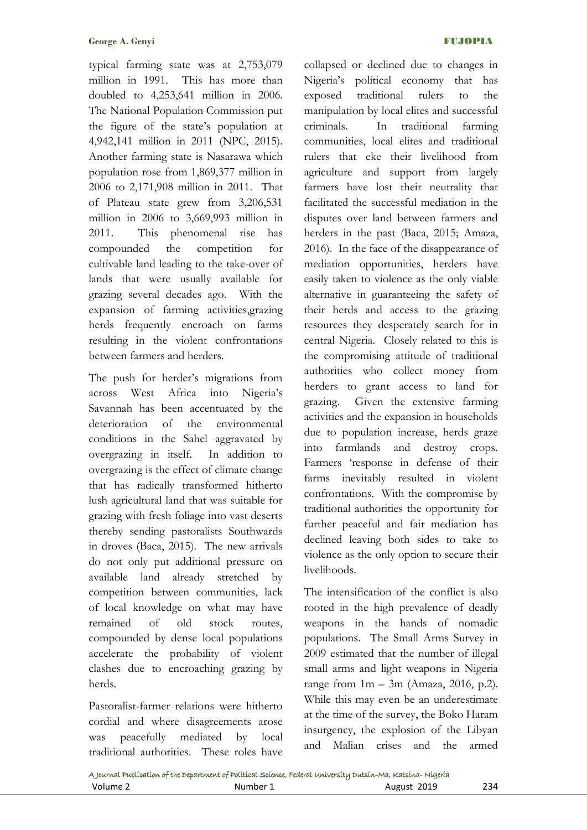typical farming state was at 2,753,079 million in 1991. This has more than doubled to 4,253,641 million in 2006. The National Population Commission put the figure of the state's population at 4,942,141 million in 2011 (NPC, 2015). Another farming state is Nasarawa which population rose from 1,869,377 million in 2006 to 2,171,908 million in 2011. That of Plateau state grew from 3,206,531 million in 2006 to 3,669,993 million in 2011. This phenomenal rise has compounded the competition for cultivable land leading to the take-over of lands that were usually available for grazing several decades ago. With the expansion of farming activities,grazing herds frequently encroach on farms resulting in the violent confrontations between farmers and herders.

The push for herder's migrations from across West Africa into Nigeria"s Savannah has been accentuated by the deterioration of the environmental conditions in the Sahel aggravated by overgrazing in itself. In addition to overgrazing is the effect of climate change that has radically transformed hitherto lush agricultural land that was suitable for grazing with fresh foliage into vast deserts thereby sending pastoralists Southwards in droves (Baca, 2015). The new arrivals do not only put additional pressure on available land already stretched by competition between communities, lack of local knowledge on what may have remained of old stock routes, compounded by dense local populations accelerate the probability of violent clashes due to encroaching grazing by herds.

Pastoralist-farmer relations were hitherto cordial and where disagreements arose was peacefully mediated by local traditional authorities. These roles have collapsed or declined due to changes in Nigeria"s political economy that has exposed traditional rulers to the manipulation by local elites and successful criminals. In traditional farming communities, local elites and traditional rulers that eke their livelihood from agriculture and support from largely farmers have lost their neutrality that facilitated the successful mediation in the disputes over land between farmers and herders in the past (Baca, 2015; Amaza, 2016). In the face of the disappearance of mediation opportunities, herders have easily taken to violence as the only viable alternative in guaranteeing the safety of their herds and access to the grazing resources they desperately search for in central Nigeria. Closely related to this is the compromising attitude of traditional authorities who collect money from herders to grant access to land for grazing. Given the extensive farming activities and the expansion in households due to population increase, herds graze into farmlands and destroy crops. Farmers "response in defense of their farms inevitably resulted in violent confrontations. With the compromise by traditional authorities the opportunity for further peaceful and fair mediation has declined leaving both sides to take to violence as the only option to secure their livelihoods.

The intensification of the conflict is also rooted in the high prevalence of deadly weapons in the hands of nomadic populations. The Small Arms Survey in 2009 estimated that the number of illegal small arms and light weapons in Nigeria range from  $1m - 3m$  (Amaza, 2016, p.2). While this may even be an underestimate at the time of the survey, the Boko Haram insurgency, the explosion of the Libyan and Malian crises and the armed

|          | A Journal Publication of the Department of Political Science, Federal University Dutsin-Ma, Katsina-Nigeria |             |     |
|----------|-------------------------------------------------------------------------------------------------------------|-------------|-----|
| Volume 2 | Number 1                                                                                                    | August 2019 | 234 |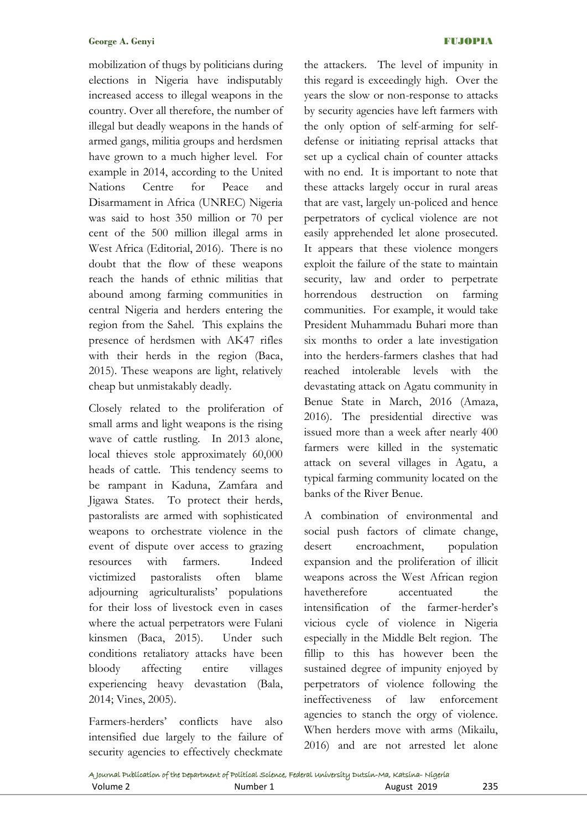mobilization of thugs by politicians during elections in Nigeria have indisputably increased access to illegal weapons in the country. Over all therefore, the number of illegal but deadly weapons in the hands of armed gangs, militia groups and herdsmen have grown to a much higher level. For example in 2014, according to the United Nations Centre for Peace and Disarmament in Africa (UNREC) Nigeria was said to host 350 million or 70 per cent of the 500 million illegal arms in West Africa (Editorial, 2016). There is no doubt that the flow of these weapons reach the hands of ethnic militias that abound among farming communities in central Nigeria and herders entering the region from the Sahel. This explains the presence of herdsmen with AK47 rifles with their herds in the region (Baca, 2015). These weapons are light, relatively cheap but unmistakably deadly.

Closely related to the proliferation of small arms and light weapons is the rising wave of cattle rustling. In 2013 alone, local thieves stole approximately 60,000 heads of cattle. This tendency seems to be rampant in Kaduna, Zamfara and Jigawa States. To protect their herds, pastoralists are armed with sophisticated weapons to orchestrate violence in the event of dispute over access to grazing resources with farmers. Indeed victimized pastoralists often blame adjourning agriculturalists" populations for their loss of livestock even in cases where the actual perpetrators were Fulani kinsmen (Baca, 2015). Under such conditions retaliatory attacks have been bloody affecting entire villages experiencing heavy devastation (Bala, 2014; Vines, 2005).

Farmers-herders" conflicts have also intensified due largely to the failure of security agencies to effectively checkmate

the attackers. The level of impunity in this regard is exceedingly high. Over the years the slow or non-response to attacks by security agencies have left farmers with the only option of self-arming for selfdefense or initiating reprisal attacks that set up a cyclical chain of counter attacks with no end. It is important to note that these attacks largely occur in rural areas that are vast, largely un-policed and hence perpetrators of cyclical violence are not easily apprehended let alone prosecuted. It appears that these violence mongers exploit the failure of the state to maintain security, law and order to perpetrate horrendous destruction on farming communities. For example, it would take President Muhammadu Buhari more than six months to order a late investigation into the herders-farmers clashes that had reached intolerable levels with the devastating attack on Agatu community in Benue State in March, 2016 (Amaza, 2016). The presidential directive was issued more than a week after nearly 400 farmers were killed in the systematic attack on several villages in Agatu, a typical farming community located on the banks of the River Benue.

A combination of environmental and social push factors of climate change, desert encroachment, population expansion and the proliferation of illicit weapons across the West African region havetherefore accentuated the intensification of the farmer-herder's vicious cycle of violence in Nigeria especially in the Middle Belt region. The fillip to this has however been the sustained degree of impunity enjoyed by perpetrators of violence following the ineffectiveness of law enforcement agencies to stanch the orgy of violence. When herders move with arms (Mikailu, 2016) and are not arrested let alone

|          | A Journal Publication of the Department of Political Science, Federal University Dutsin-Ma, Katsina-Nigeria |             |     |
|----------|-------------------------------------------------------------------------------------------------------------|-------------|-----|
| Volume 2 | Number 1                                                                                                    | August 2019 | 235 |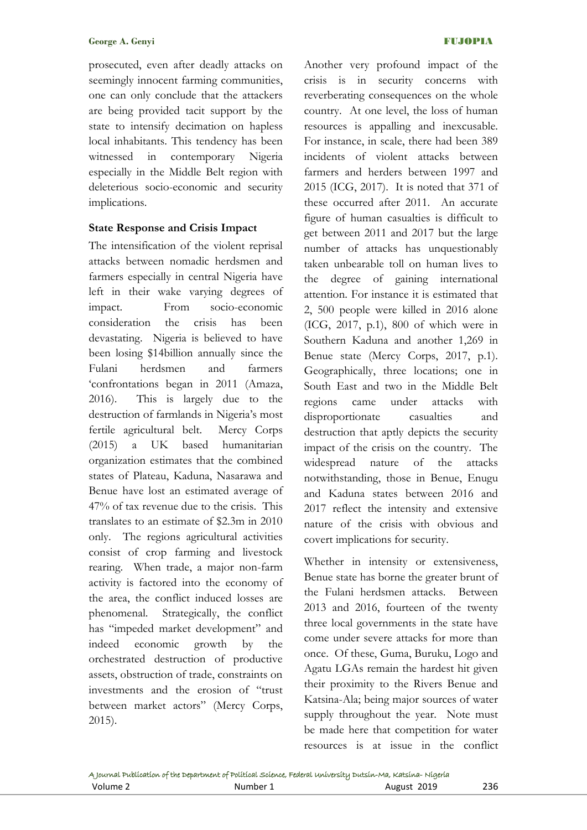prosecuted, even after deadly attacks on seemingly innocent farming communities, one can only conclude that the attackers are being provided tacit support by the state to intensify decimation on hapless local inhabitants. This tendency has been witnessed in contemporary Nigeria especially in the Middle Belt region with deleterious socio-economic and security implications.

## **State Response and Crisis Impact**

The intensification of the violent reprisal attacks between nomadic herdsmen and farmers especially in central Nigeria have left in their wake varying degrees of impact. From socio-economic consideration the crisis has been devastating. Nigeria is believed to have been losing \$14billion annually since the Fulani herdsmen and farmers "confrontations began in 2011 (Amaza, 2016). This is largely due to the destruction of farmlands in Nigeria's most fertile agricultural belt. Mercy Corps (2015) a UK based humanitarian organization estimates that the combined states of Plateau, Kaduna, Nasarawa and Benue have lost an estimated average of 47% of tax revenue due to the crisis. This translates to an estimate of \$2.3m in 2010 only. The regions agricultural activities consist of crop farming and livestock rearing. When trade, a major non-farm activity is factored into the economy of the area, the conflict induced losses are phenomenal. Strategically, the conflict has "impeded market development" and indeed economic growth by the orchestrated destruction of productive assets, obstruction of trade, constraints on investments and the erosion of "trust between market actors" (Mercy Corps, 2015).

Another very profound impact of the crisis is in security concerns with reverberating consequences on the whole country. At one level, the loss of human resources is appalling and inexcusable. For instance, in scale, there had been 389 incidents of violent attacks between farmers and herders between 1997 and 2015 (ICG, 2017). It is noted that 371 of these occurred after 2011. An accurate figure of human casualties is difficult to get between 2011 and 2017 but the large number of attacks has unquestionably taken unbearable toll on human lives to the degree of gaining international attention. For instance it is estimated that 2, 500 people were killed in 2016 alone (ICG, 2017, p.1), 800 of which were in Southern Kaduna and another 1,269 in Benue state (Mercy Corps, 2017, p.1). Geographically, three locations; one in South East and two in the Middle Belt regions came under attacks with disproportionate casualties and destruction that aptly depicts the security impact of the crisis on the country. The widespread nature of the attacks notwithstanding, those in Benue, Enugu and Kaduna states between 2016 and 2017 reflect the intensity and extensive nature of the crisis with obvious and covert implications for security.

Whether in intensity or extensiveness, Benue state has borne the greater brunt of the Fulani herdsmen attacks. Between 2013 and 2016, fourteen of the twenty three local governments in the state have come under severe attacks for more than once. Of these, Guma, Buruku, Logo and Agatu LGAs remain the hardest hit given their proximity to the Rivers Benue and Katsina-Ala; being major sources of water supply throughout the year. Note must be made here that competition for water resources is at issue in the conflict

|          | A Journal Publication of the Department of Political Science, Federal University Dutsin-Ma, Katsina- Nigeria |             |     |
|----------|--------------------------------------------------------------------------------------------------------------|-------------|-----|
| Volume 2 | Number 1                                                                                                     | August 2019 | 236 |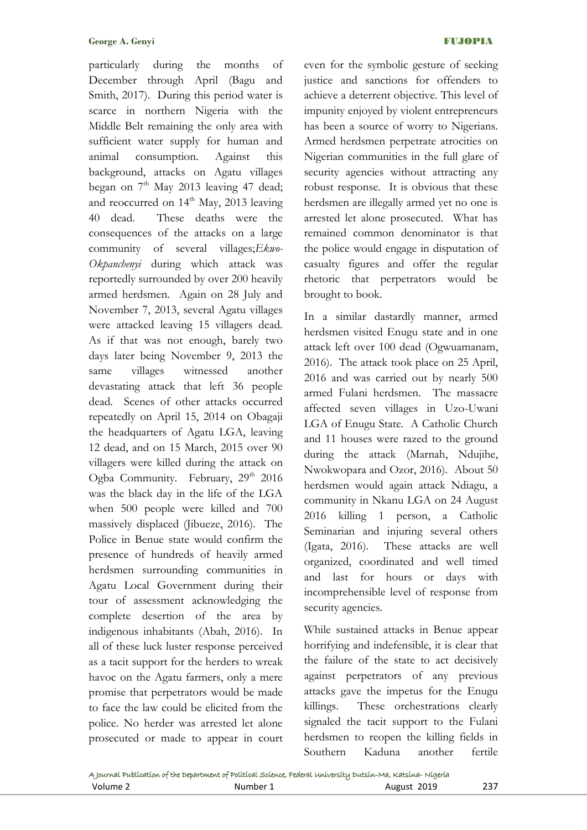particularly during the months of December through April (Bagu and Smith, 2017). During this period water is scarce in northern Nigeria with the Middle Belt remaining the only area with sufficient water supply for human and animal consumption. Against this background, attacks on Agatu villages began on  $7<sup>th</sup>$  May 2013 leaving 47 dead; and reoccurred on  $14<sup>th</sup>$  May, 2013 leaving 40 dead. These deaths were the consequences of the attacks on a large community of several villages;*Ekwo-Okpanchenyi* during which attack was reportedly surrounded by over 200 heavily armed herdsmen. Again on 28 July and November 7, 2013, several Agatu villages were attacked leaving 15 villagers dead. As if that was not enough, barely two days later being November 9, 2013 the same villages witnessed another devastating attack that left 36 people dead. Scenes of other attacks occurred repeatedly on April 15, 2014 on Obagaji the headquarters of Agatu LGA, leaving 12 dead, and on 15 March, 2015 over 90 villagers were killed during the attack on Ogba Community. February, 29<sup>th</sup> 2016 was the black day in the life of the LGA when 500 people were killed and 700 massively displaced (Jibueze, 2016). The Police in Benue state would confirm the presence of hundreds of heavily armed herdsmen surrounding communities in Agatu Local Government during their tour of assessment acknowledging the complete desertion of the area by indigenous inhabitants (Abah, 2016). In all of these luck luster response perceived as a tacit support for the herders to wreak havoc on the Agatu farmers, only a mere promise that perpetrators would be made to face the law could be elicited from the police. No herder was arrested let alone prosecuted or made to appear in court

even for the symbolic gesture of seeking justice and sanctions for offenders to achieve a deterrent objective. This level of impunity enjoyed by violent entrepreneurs has been a source of worry to Nigerians. Armed herdsmen perpetrate atrocities on Nigerian communities in the full glare of security agencies without attracting any robust response. It is obvious that these herdsmen are illegally armed yet no one is arrested let alone prosecuted. What has remained common denominator is that the police would engage in disputation of casualty figures and offer the regular rhetoric that perpetrators would be brought to book.

In a similar dastardly manner, armed herdsmen visited Enugu state and in one attack left over 100 dead (Ogwuamanam, 2016). The attack took place on 25 April, 2016 and was carried out by nearly 500 armed Fulani herdsmen. The massacre affected seven villages in Uzo-Uwani LGA of Enugu State. A Catholic Church and 11 houses were razed to the ground during the attack (Marnah, Ndujihe, Nwokwopara and Ozor, 2016). About 50 herdsmen would again attack Ndiagu, a community in Nkanu LGA on 24 August 2016 killing 1 person, a Catholic Seminarian and injuring several others (Igata, 2016). These attacks are well organized, coordinated and well timed and last for hours or days with incomprehensible level of response from security agencies.

While sustained attacks in Benue appear horrifying and indefensible, it is clear that the failure of the state to act decisively against perpetrators of any previous attacks gave the impetus for the Enugu killings. These orchestrations clearly signaled the tacit support to the Fulani herdsmen to reopen the killing fields in Southern Kaduna another fertile

|          | A Journal Publication of the Department of Political Science, Federal University Dutsin-Ma, Katsina-Nigeria |             |     |
|----------|-------------------------------------------------------------------------------------------------------------|-------------|-----|
| Volume 2 | Number 1                                                                                                    | August 2019 | 237 |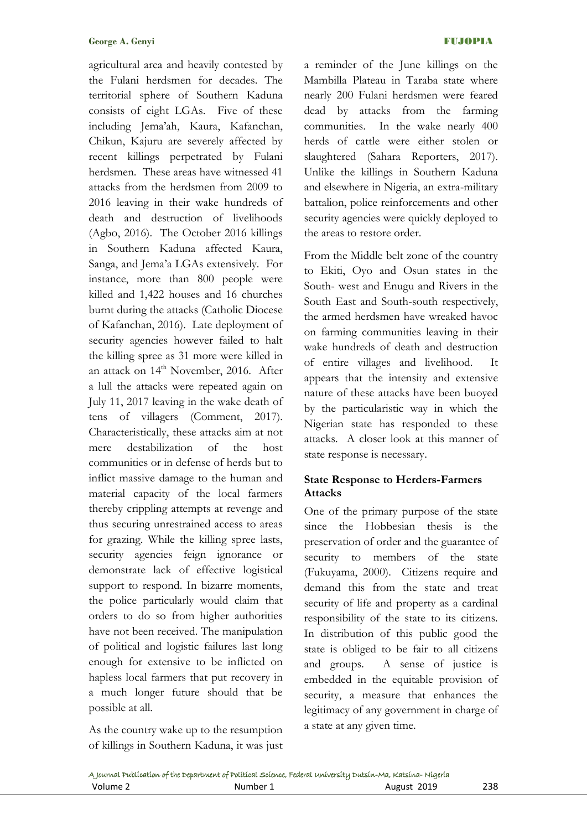agricultural area and heavily contested by the Fulani herdsmen for decades. The territorial sphere of Southern Kaduna consists of eight LGAs. Five of these including Jema"ah, Kaura, Kafanchan, Chikun, Kajuru are severely affected by recent killings perpetrated by Fulani herdsmen. These areas have witnessed 41 attacks from the herdsmen from 2009 to 2016 leaving in their wake hundreds of death and destruction of livelihoods (Agbo, 2016). The October 2016 killings in Southern Kaduna affected Kaura, Sanga, and Jema"a LGAs extensively. For instance, more than 800 people were killed and 1,422 houses and 16 churches burnt during the attacks (Catholic Diocese of Kafanchan, 2016). Late deployment of security agencies however failed to halt the killing spree as 31 more were killed in an attack on 14<sup>th</sup> November, 2016. After a lull the attacks were repeated again on July 11, 2017 leaving in the wake death of tens of villagers (Comment, 2017). Characteristically, these attacks aim at not mere destabilization of the host communities or in defense of herds but to inflict massive damage to the human and material capacity of the local farmers thereby crippling attempts at revenge and thus securing unrestrained access to areas for grazing. While the killing spree lasts, security agencies feign ignorance or demonstrate lack of effective logistical support to respond. In bizarre moments, the police particularly would claim that orders to do so from higher authorities have not been received. The manipulation of political and logistic failures last long enough for extensive to be inflicted on hapless local farmers that put recovery in a much longer future should that be possible at all.

As the country wake up to the resumption of killings in Southern Kaduna, it was just a reminder of the June killings on the Mambilla Plateau in Taraba state where nearly 200 Fulani herdsmen were feared dead by attacks from the farming communities. In the wake nearly 400 herds of cattle were either stolen or slaughtered (Sahara Reporters, 2017). Unlike the killings in Southern Kaduna and elsewhere in Nigeria, an extra-military battalion, police reinforcements and other security agencies were quickly deployed to the areas to restore order.

From the Middle belt zone of the country to Ekiti, Oyo and Osun states in the South- west and Enugu and Rivers in the South East and South-south respectively, the armed herdsmen have wreaked havoc on farming communities leaving in their wake hundreds of death and destruction of entire villages and livelihood. It appears that the intensity and extensive nature of these attacks have been buoyed by the particularistic way in which the Nigerian state has responded to these attacks. A closer look at this manner of state response is necessary.

# **State Response to Herders-Farmers Attacks**

One of the primary purpose of the state since the Hobbesian thesis is the preservation of order and the guarantee of security to members of the state (Fukuyama, 2000). Citizens require and demand this from the state and treat security of life and property as a cardinal responsibility of the state to its citizens. In distribution of this public good the state is obliged to be fair to all citizens and groups. A sense of justice is embedded in the equitable provision of security, a measure that enhances the legitimacy of any government in charge of a state at any given time.

|          | A Journal Publication of the Department of Political Science, Federal University Dutsin-Ma, Katsina- Nigeria |             |     |
|----------|--------------------------------------------------------------------------------------------------------------|-------------|-----|
| Volume 2 | Number 1                                                                                                     | August 2019 | 238 |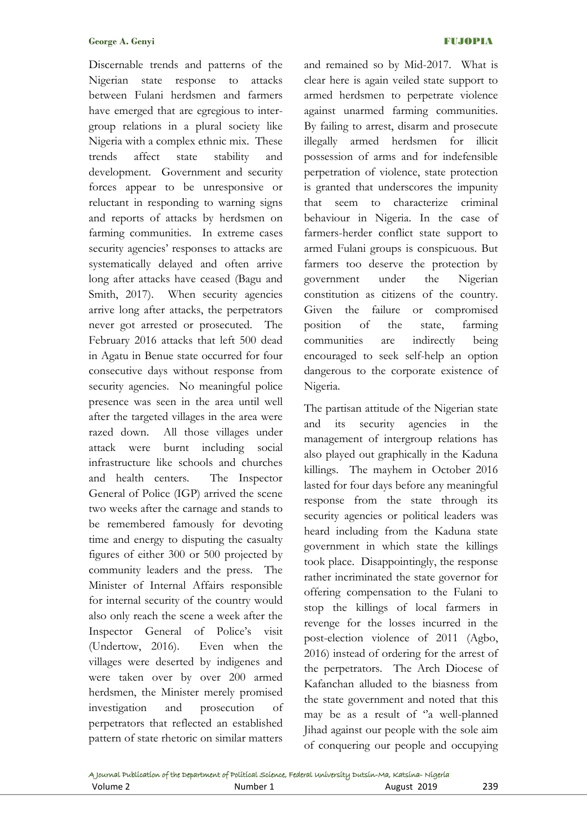Discernable trends and patterns of the Nigerian state response to attacks between Fulani herdsmen and farmers have emerged that are egregious to intergroup relations in a plural society like Nigeria with a complex ethnic mix. These trends affect state stability and development. Government and security forces appear to be unresponsive or reluctant in responding to warning signs and reports of attacks by herdsmen on farming communities. In extreme cases security agencies' responses to attacks are systematically delayed and often arrive long after attacks have ceased (Bagu and Smith, 2017). When security agencies arrive long after attacks, the perpetrators never got arrested or prosecuted. The February 2016 attacks that left 500 dead in Agatu in Benue state occurred for four consecutive days without response from security agencies. No meaningful police presence was seen in the area until well after the targeted villages in the area were razed down. All those villages under attack were burnt including social infrastructure like schools and churches and health centers. The Inspector General of Police (IGP) arrived the scene two weeks after the carnage and stands to be remembered famously for devoting time and energy to disputing the casualty figures of either 300 or 500 projected by community leaders and the press. The Minister of Internal Affairs responsible for internal security of the country would also only reach the scene a week after the Inspector General of Police's visit (Undertow, 2016). Even when the villages were deserted by indigenes and were taken over by over 200 armed herdsmen, the Minister merely promised investigation and prosecution of perpetrators that reflected an established pattern of state rhetoric on similar matters

and remained so by Mid-2017. What is clear here is again veiled state support to armed herdsmen to perpetrate violence against unarmed farming communities. By failing to arrest, disarm and prosecute illegally armed herdsmen for illicit possession of arms and for indefensible perpetration of violence, state protection is granted that underscores the impunity that seem to characterize criminal behaviour in Nigeria. In the case of farmers-herder conflict state support to armed Fulani groups is conspicuous. But farmers too deserve the protection by government under the Nigerian constitution as citizens of the country. Given the failure or compromised position of the state, farming communities are indirectly being encouraged to seek self-help an option dangerous to the corporate existence of Nigeria.

The partisan attitude of the Nigerian state and its security agencies in the management of intergroup relations has also played out graphically in the Kaduna killings. The mayhem in October 2016 lasted for four days before any meaningful response from the state through its security agencies or political leaders was heard including from the Kaduna state government in which state the killings took place. Disappointingly, the response rather incriminated the state governor for offering compensation to the Fulani to stop the killings of local farmers in revenge for the losses incurred in the post-election violence of 2011 (Agbo, 2016) instead of ordering for the arrest of the perpetrators. The Arch Diocese of Kafanchan alluded to the biasness from the state government and noted that this may be as a result of "a well-planned Jihad against our people with the sole aim of conquering our people and occupying

|          | A Journal Publication of the Department of Political Science, Federal University Dutsin-Ma, Katsina-Nigeria |             |     |
|----------|-------------------------------------------------------------------------------------------------------------|-------------|-----|
| Volume 2 | Number 1                                                                                                    | August 2019 | 239 |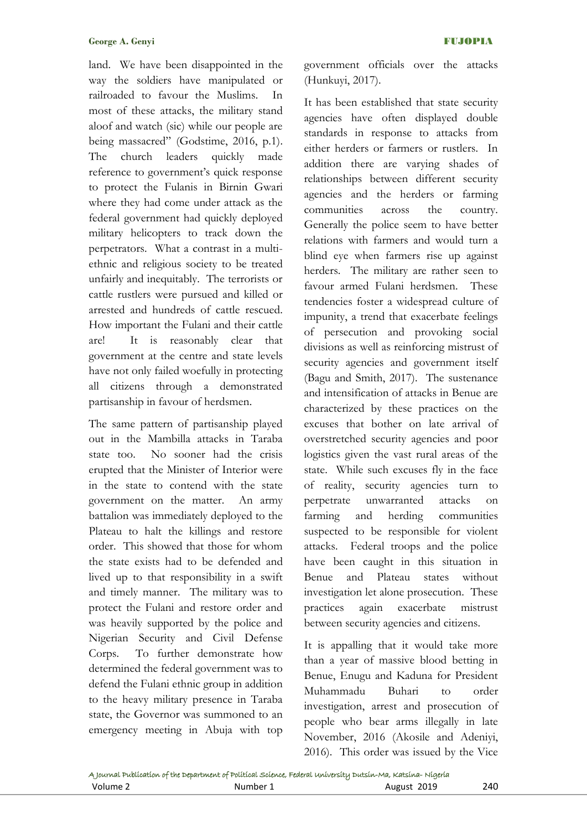land. We have been disappointed in the way the soldiers have manipulated or railroaded to favour the Muslims. In most of these attacks, the military stand aloof and watch (sic) while our people are being massacred" (Godstime, 2016, p.1). The church leaders quickly made reference to government's quick response to protect the Fulanis in Birnin Gwari where they had come under attack as the federal government had quickly deployed military helicopters to track down the perpetrators. What a contrast in a multiethnic and religious society to be treated unfairly and inequitably. The terrorists or cattle rustlers were pursued and killed or arrested and hundreds of cattle rescued. How important the Fulani and their cattle are! It is reasonably clear that government at the centre and state levels have not only failed woefully in protecting all citizens through a demonstrated partisanship in favour of herdsmen.

The same pattern of partisanship played out in the Mambilla attacks in Taraba state too. No sooner had the crisis erupted that the Minister of Interior were in the state to contend with the state government on the matter. An army battalion was immediately deployed to the Plateau to halt the killings and restore order. This showed that those for whom the state exists had to be defended and lived up to that responsibility in a swift and timely manner. The military was to protect the Fulani and restore order and was heavily supported by the police and Nigerian Security and Civil Defense Corps. To further demonstrate how determined the federal government was to defend the Fulani ethnic group in addition to the heavy military presence in Taraba state, the Governor was summoned to an emergency meeting in Abuja with top

government officials over the attacks (Hunkuyi, 2017).

It has been established that state security agencies have often displayed double standards in response to attacks from either herders or farmers or rustlers. In addition there are varying shades of relationships between different security agencies and the herders or farming communities across the country. Generally the police seem to have better relations with farmers and would turn a blind eye when farmers rise up against herders. The military are rather seen to favour armed Fulani herdsmen. These tendencies foster a widespread culture of impunity, a trend that exacerbate feelings of persecution and provoking social divisions as well as reinforcing mistrust of security agencies and government itself (Bagu and Smith, 2017). The sustenance and intensification of attacks in Benue are characterized by these practices on the excuses that bother on late arrival of overstretched security agencies and poor logistics given the vast rural areas of the state. While such excuses fly in the face of reality, security agencies turn to perpetrate unwarranted attacks on farming and herding communities suspected to be responsible for violent attacks. Federal troops and the police have been caught in this situation in Benue and Plateau states without investigation let alone prosecution. These practices again exacerbate mistrust between security agencies and citizens.

It is appalling that it would take more than a year of massive blood betting in Benue, Enugu and Kaduna for President Muhammadu Buhari to order investigation, arrest and prosecution of people who bear arms illegally in late November, 2016 (Akosile and Adeniyi, 2016). This order was issued by the Vice

|          | A Journal Publication of the Department of Political Science, Federal University Dutsin-Ma, Katsina-Nigeria |             |     |
|----------|-------------------------------------------------------------------------------------------------------------|-------------|-----|
| Volume 2 | Number 1                                                                                                    | August 2019 | 240 |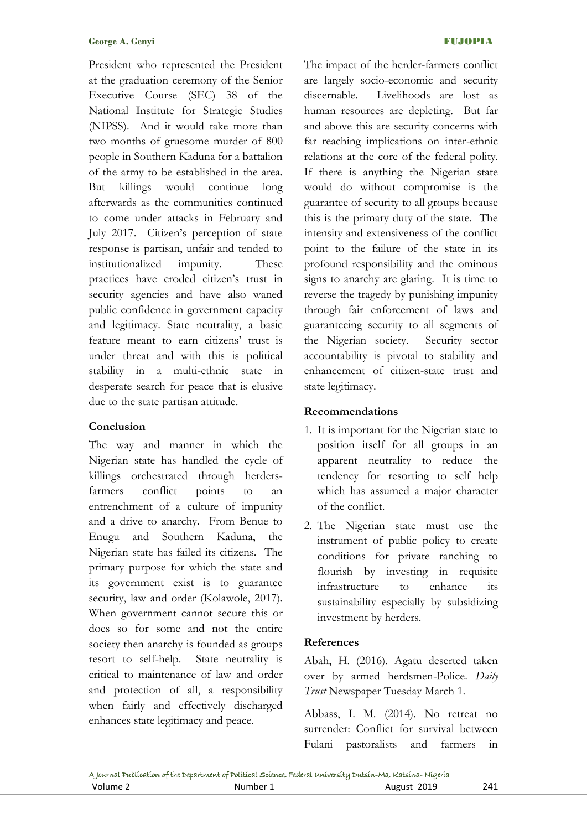President who represented the President at the graduation ceremony of the Senior Executive Course (SEC) 38 of the National Institute for Strategic Studies (NIPSS). And it would take more than two months of gruesome murder of 800 people in Southern Kaduna for a battalion of the army to be established in the area. But killings would continue long afterwards as the communities continued to come under attacks in February and July 2017. Citizen"s perception of state response is partisan, unfair and tended to institutionalized impunity. These practices have eroded citizen"s trust in security agencies and have also waned public confidence in government capacity and legitimacy. State neutrality, a basic feature meant to earn citizens' trust is under threat and with this is political stability in a multi-ethnic state in desperate search for peace that is elusive due to the state partisan attitude.

## **Conclusion**

The way and manner in which the Nigerian state has handled the cycle of killings orchestrated through herdersfarmers conflict points to an entrenchment of a culture of impunity and a drive to anarchy. From Benue to Enugu and Southern Kaduna, the Nigerian state has failed its citizens. The primary purpose for which the state and its government exist is to guarantee security, law and order (Kolawole, 2017). When government cannot secure this or does so for some and not the entire society then anarchy is founded as groups resort to self-help. State neutrality is critical to maintenance of law and order and protection of all, a responsibility when fairly and effectively discharged enhances state legitimacy and peace.

The impact of the herder-farmers conflict are largely socio-economic and security discernable. Livelihoods are lost as human resources are depleting. But far and above this are security concerns with far reaching implications on inter-ethnic relations at the core of the federal polity. If there is anything the Nigerian state would do without compromise is the guarantee of security to all groups because this is the primary duty of the state. The intensity and extensiveness of the conflict point to the failure of the state in its profound responsibility and the ominous signs to anarchy are glaring. It is time to reverse the tragedy by punishing impunity through fair enforcement of laws and guaranteeing security to all segments of the Nigerian society. Security sector accountability is pivotal to stability and enhancement of citizen-state trust and state legitimacy.

# **Recommendations**

- 1. It is important for the Nigerian state to position itself for all groups in an apparent neutrality to reduce the tendency for resorting to self help which has assumed a major character of the conflict.
- 2. The Nigerian state must use the instrument of public policy to create conditions for private ranching to flourish by investing in requisite infrastructure to enhance its sustainability especially by subsidizing investment by herders.

## **References**

Abah, H. (2016). Agatu deserted taken over by armed herdsmen-Police. *Daily Trust* Newspaper Tuesday March 1.

Abbass, I. M. (2014). No retreat no surrender: Conflict for survival between Fulani pastoralists and farmers in

|          | A Journal Publication of the Department of Political Science, Federal University Dutsin-Ma, Katsina-Nigeria |             |     |
|----------|-------------------------------------------------------------------------------------------------------------|-------------|-----|
| Volume 2 | Number 1                                                                                                    | August 2019 | 241 |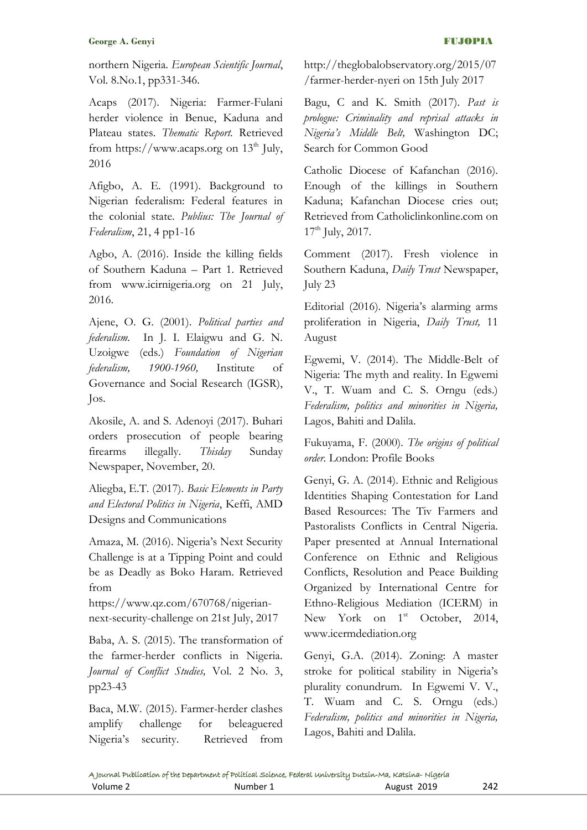northern Nigeria. *European Scientific Journal*, Vol. 8.No.1, pp331-346.

Acaps (2017). Nigeria: Farmer-Fulani herder violence in Benue, Kaduna and Plateau states. *Thematic Report.* Retrieved from [https://www.acaps.org](https://www.acaps.org/) on  $13<sup>th</sup>$  July, 2016

Afigbo, A. E. (1991). Background to Nigerian federalism: Federal features in the colonial state. *Publius: The Journal of Federalism*, 21, 4 pp1-16

Agbo, A. (2016). Inside the killing fields of Southern Kaduna – Part 1. Retrieved from [www.icirnigeria.org](http://www.icirnigeria.org/) on 21 July, 2016.

Ajene, O. G. (2001). *Political parties and federalism.* In J. I. Elaigwu and G. N. Uzoigwe (eds.) *Foundation of Nigerian federalism, 1900-1960,* Institute of Governance and Social Research (IGSR), Jos.

Akosile, A. and S. Adenoyi (2017). Buhari orders prosecution of people bearing firearms illegally. *Thisday* Sunday Newspaper, November, 20.

Aliegba, E.T. (2017). *Basic Elements in Party and Electoral Politics in Nigeria*, Keffi, AMD Designs and Communications

Amaza, M. (2016). Nigeria's Next Security Challenge is at a Tipping Point and could be as Deadly as Boko Haram. Retrieved from

[https://www.qz.com/670768/nigerian](https://www.qz.com/670768/nigerian-next-security-challenge)[next-security-challenge](https://www.qz.com/670768/nigerian-next-security-challenge) on 21st July, 2017

Baba, A. S. (2015). The transformation of the farmer-herder conflicts in Nigeria. *Journal of Conflict Studies,* Vol. 2 No. 3, pp23-43

Baca, M.W. (2015). Farmer-herder clashes amplify challenge for beleaguered Nigeria"s security. Retrieved from [http://theglobalobservatory.org/2015/07](http://theglobalobservatory.org/2015/07/farmer-herder-nyeri) [/farmer-herder-nyeri](http://theglobalobservatory.org/2015/07/farmer-herder-nyeri) on 15th July 2017

Bagu, C and K. Smith (2017). *Past is prologue: Criminality and reprisal attacks in Nigeria's Middle Belt,* Washington DC; Search for Common Good

Catholic Diocese of Kafanchan (2016). Enough of the killings in Southern Kaduna; Kafanchan Diocese cries out; Retrieved from Catholiclinkonline.com on  $17<sup>th</sup>$  July, 2017.

Comment (2017). Fresh violence in Southern Kaduna, *Daily Trust* Newspaper, July 23

Editorial (2016). Nigeria's alarming arms proliferation in Nigeria, *Daily Trust,* 11 August

Egwemi, V. (2014). The Middle-Belt of Nigeria: The myth and reality. In Egwemi V., T. Wuam and C. S. Orngu (eds.) *Federalism, politics and minorities in Nigeria,* Lagos, Bahiti and Dalila.

Fukuyama, F. (2000). *The origins of political order.* London: Profile Books

Genyi, G. A. (2014). Ethnic and Religious Identities Shaping Contestation for Land Based Resources: The Tiv Farmers and Pastoralists Conflicts in Central Nigeria. Paper presented at Annual International Conference on Ethnic and Religious Conflicts, Resolution and Peace Building Organized by International Centre for Ethno-Religious Mediation (ICERM) in New York on  $1^{st}$  October, 2014, [www.icermdediation.org](http://www.icermdediation.org/)

Genyi, G.A. (2014). Zoning: A master stroke for political stability in Nigeria's plurality conundrum. In Egwemi V. V., T. Wuam and C. S. Orngu (eds.) *Federalism, politics and minorities in Nigeria,* Lagos, Bahiti and Dalila.

|          | A Journal Publication of the Department of Political Science, Federal University Dutsin-Ma, Katsina-Nigeria |             |     |
|----------|-------------------------------------------------------------------------------------------------------------|-------------|-----|
| Volume 2 | Number 1                                                                                                    | August 2019 | 242 |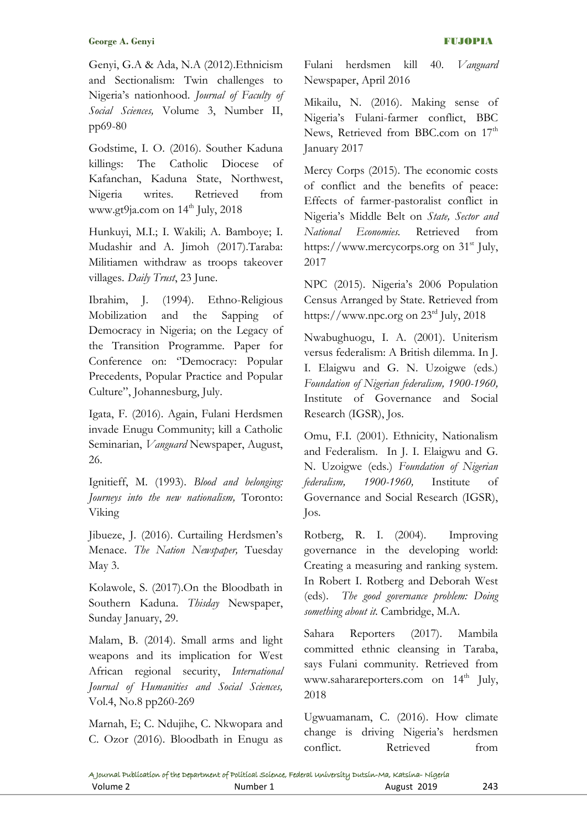Genyi, G.A & Ada, N.A (2012).Ethnicism and Sectionalism: Twin challenges to Nigeria"s nationhood. *Journal of Faculty of Social Sciences,* Volume 3, Number II, pp69-80

Godstime, I. O. (2016). Souther Kaduna killings: The Catholic Diocese of Kafanchan, Kaduna State, Northwest, Nigeria writes. Retrieved from [www.gt9ja.com](http://www.gt9ja.com/) on  $14<sup>th</sup>$  July, 2018

Hunkuyi, M.I.; I. Wakili; A. Bamboye; I. Mudashir and A. Jimoh (2017).Taraba: Militiamen withdraw as troops takeover villages. *Daily Trust*, 23 June.

Ibrahim, J. (1994). Ethno-Religious Mobilization and the Sapping of Democracy in Nigeria; on the Legacy of the Transition Programme. Paper for Conference on: "Democracy: Popular Precedents, Popular Practice and Popular Culture", Johannesburg, July.

Igata, F. (2016). Again, Fulani Herdsmen invade Enugu Community; kill a Catholic Seminarian, *Vanguard* Newspaper, August, 26.

Ignitieff, M. (1993). *Blood and belonging: Journeys into the new nationalism,* Toronto: Viking

Jibueze, J. (2016). Curtailing Herdsmen's Menace. *The Nation Newspaper,* Tuesday May 3.

Kolawole, S. (2017).On the Bloodbath in Southern Kaduna. *Thisday* Newspaper, Sunday January, 29.

Malam, B. (2014). Small arms and light weapons and its implication for West African regional security, *International Journal of Humanities and Social Sciences,* Vol.4, No.8 pp260-269

Marnah, E; C. Ndujihe, C. Nkwopara and C. Ozor (2016). Bloodbath in Enugu as Fulani herdsmen kill 40. *Vanguard* Newspaper, April 2016

Mikailu, N. (2016). Making sense of Nigeria"s Fulani-farmer conflict, BBC News, Retrieved from BBC.com on 17<sup>th</sup> January 2017

Mercy Corps (2015). The economic costs of conflict and the benefits of peace: Effects of farmer-pastoralist conflict in Nigeria"s Middle Belt on *State, Sector and National Economies.* Retrieved from [https://www.mercycorps.org](https://www.mercycorps.org/) on  $31<sup>st</sup>$  July, 2017

NPC (2015). Nigeria's 2006 Population Census Arranged by State. Retrieved from [https://www.npc.org](https://www.npc.org/) on 23rd July, 2018

Nwabughuogu, I. A. (2001). Uniterism versus federalism: A British dilemma. In J. I. Elaigwu and G. N. Uzoigwe (eds.) *Foundation of Nigerian federalism, 1900-1960,* Institute of Governance and Social Research (IGSR), Jos.

Omu, F.I. (2001). Ethnicity, Nationalism and Federalism. In J. I. Elaigwu and G. N. Uzoigwe (eds.) *Foundation of Nigerian federalism, 1900-1960,* Institute of Governance and Social Research (IGSR), Jos.

Rotberg, R. I. (2004). Improving governance in the developing world: Creating a measuring and ranking system. In Robert I. Rotberg and Deborah West (eds). *The good governance problem: Doing something about it.* Cambridge, M.A.

Sahara Reporters (2017). Mambila committed ethnic cleansing in Taraba, says Fulani community. Retrieved from [www.saharareporters.com](http://www.saharareporters.com/) on 14<sup>th</sup> July, 2018

Ugwuamanam, C. (2016). How climate change is driving Nigeria's herdsmen conflict. Retrieved from

|          | A Journal Publication of the Department of Political Science, Federal University Dutsin-Ma, Katsina-Nigeria |             |     |
|----------|-------------------------------------------------------------------------------------------------------------|-------------|-----|
| Volume 2 | Number 1                                                                                                    | August 2019 | 243 |